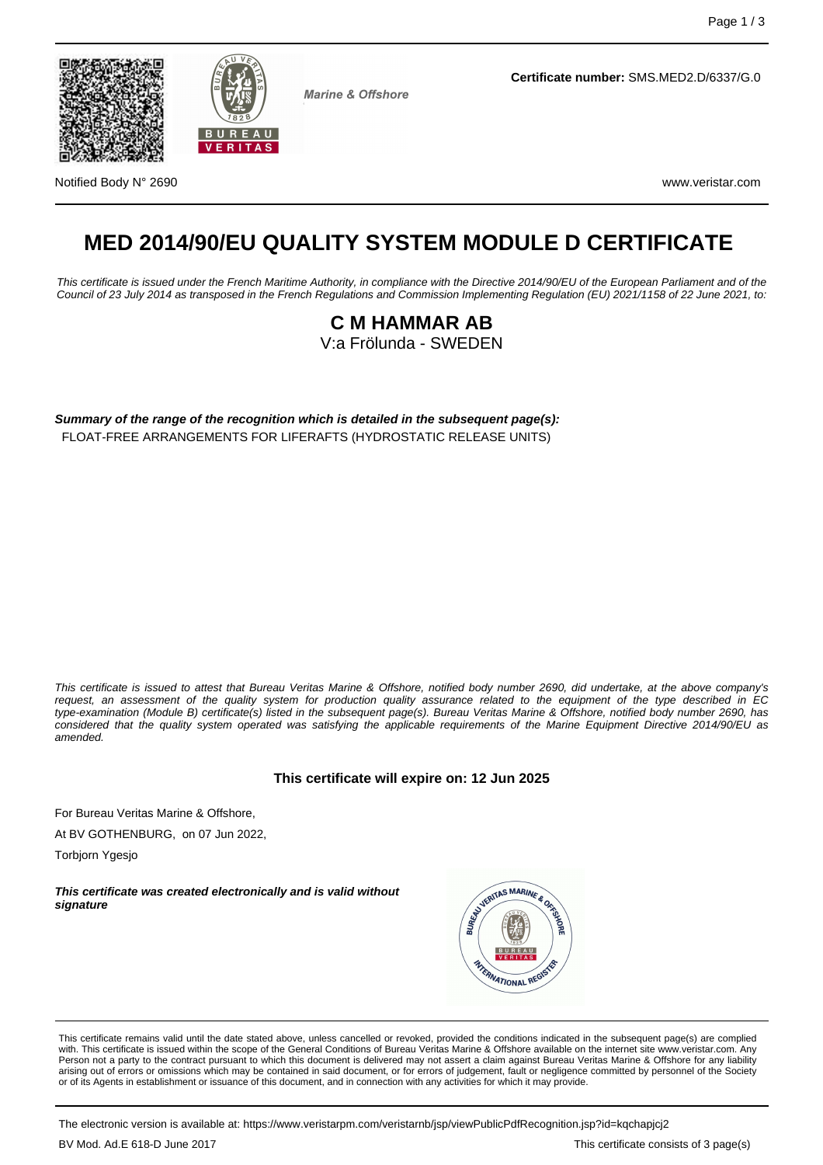



**Marine & Offshore** 

**Certificate number:** SMS.MED2.D/6337/G.0

Notified Body N° 2690 www.veristar.com

# **MED 2014/90/EU QUALITY SYSTEM MODULE D CERTIFICATE**

This certificate is issued under the French Maritime Authority, in compliance with the Directive 2014/90/EU of the European Parliament and of the Council of 23 July 2014 as transposed in the French Regulations and Commission Implementing Regulation (EU) 2021/1158 of 22 June 2021, to:

### **C M HAMMAR AB** V:a Frölunda - SWEDEN

**Summary of the range of the recognition which is detailed in the subsequent page(s):** FLOAT-FREE ARRANGEMENTS FOR LIFERAFTS (HYDROSTATIC RELEASE UNITS)

This certificate is issued to attest that Bureau Veritas Marine & Offshore, notified body number 2690, did undertake, at the above company's request, an assessment of the quality system for production quality assurance related to the equipment of the type described in EC type-examination (Module B) certificate(s) listed in the subsequent page(s). Bureau Veritas Marine & Offshore, notified body number 2690, has considered that the quality system operated was satisfying the applicable requirements of the Marine Equipment Directive 2014/90/EU as amended.

#### **This certificate will expire on: 12 Jun 2025**

For Bureau Veritas Marine & Offshore,

At BV GOTHENBURG, on 07 Jun 2022,

Torbjorn Ygesjo

**This certificate was created electronically and is valid without signature**



This certificate remains valid until the date stated above, unless cancelled or revoked, provided the conditions indicated in the subsequent page(s) are complied with. This certificate is issued within the scope of the General Conditions of Bureau Veritas Marine & Offshore available on the internet site www.veristar.com. Any Person not a party to the contract pursuant to which this document is delivered may not assert a claim against Bureau Veritas Marine & Offshore for any liability arising out of errors or omissions which may be contained in said document, or for errors of judgement, fault or negligence committed by personnel of the Society or of its Agents in establishment or issuance of this document, and in connection with any activities for which it may provide.

The electronic version is available at: https://www.veristarpm.com/veristarnb/jsp/viewPublicPdfRecognition.jsp?id=kqchapjcj2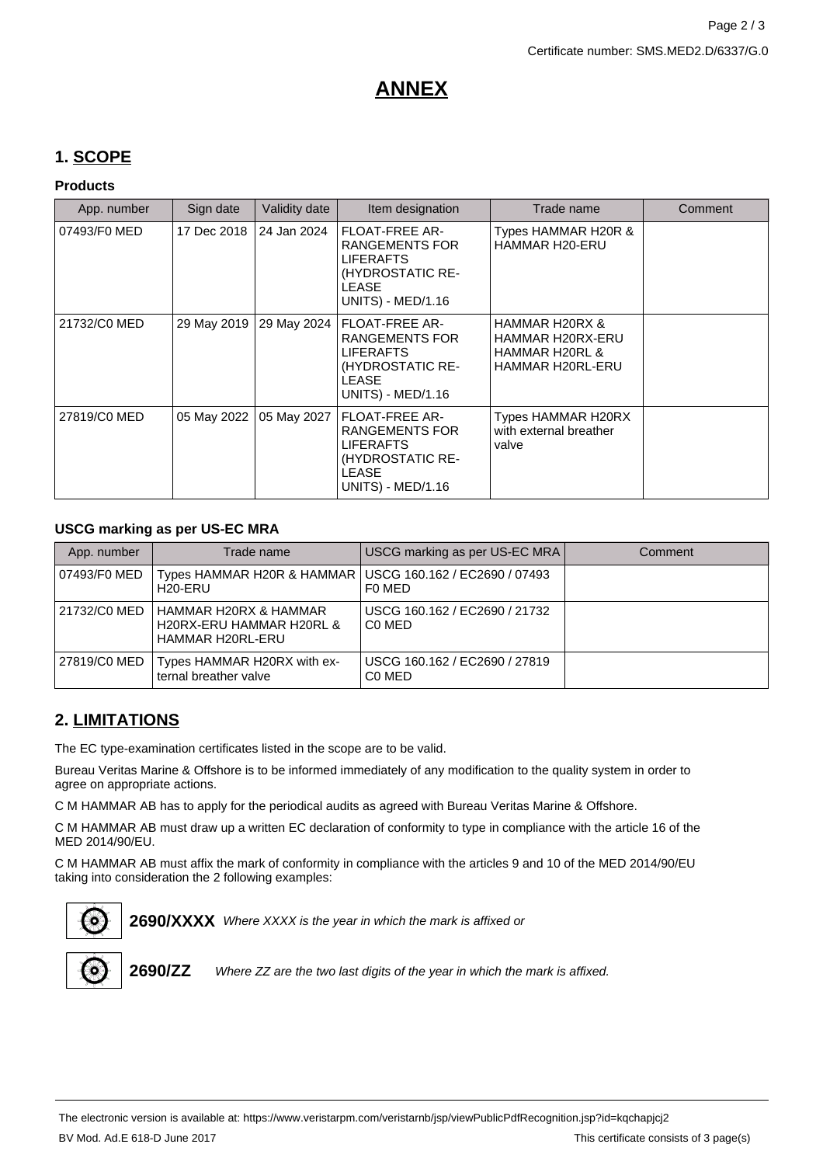## **ANNEX**

## **1. SCOPE**

#### **Products**

| App. number  | Sign date   | Validity date | Item designation                                                                                                                   | Trade name                                                                          | Comment |
|--------------|-------------|---------------|------------------------------------------------------------------------------------------------------------------------------------|-------------------------------------------------------------------------------------|---------|
| 07493/F0 MED | 17 Dec 2018 | 24 Jan 2024   | <b>FLOAT-FREE AR-</b><br>RANGEMENTS FOR<br><b>LIFERAFTS</b><br>(HYDROSTATIC RE-<br>LEASE<br><b>UNITS) - MED/1.16</b>               | Types HAMMAR H20R &<br>HAMMAR H20-ERU                                               |         |
| 21732/C0 MED | 29 May 2019 | 29 May 2024   | <b>FLOAT-FREE AR-</b><br><b>RANGEMENTS FOR</b><br><b>LIFERAFTS</b><br>(HYDROSTATIC RE-<br><b>LEASE</b><br><b>UNITS) - MED/1.16</b> | HAMMAR H20RX &<br>HAMMAR H20RX-ERU<br><b>HAMMAR H20RL &amp;</b><br>HAMMAR H20RL-ERU |         |
| 27819/C0 MED | 05 May 2022 | 05 May 2027   | <b>FLOAT-FREE AR-</b><br><b>RANGEMENTS FOR</b><br><b>LIFERAFTS</b><br>(HYDROSTATIC RE-<br><b>LEASE</b><br><b>UNITS) - MED/1.16</b> | Types HAMMAR H20RX<br>with external breather<br>valve                               |         |

#### **USCG marking as per US-EC MRA**

| App. number  | Trade name                                                                         | USCG marking as per US-EC MRA                                   | Comment |
|--------------|------------------------------------------------------------------------------------|-----------------------------------------------------------------|---------|
| 07493/F0 MED | Types HAMMAR H20R & HAMMAR   USCG 160.162 / EC2690 / 07493<br>H <sub>20</sub> -ERU | F0 MED                                                          |         |
| 21732/C0 MED | HAMMAR H20RX & HAMMAR<br>H20RX-ERU HAMMAR H20RL &<br><b>HAMMAR H20RL-ERU</b>       | USCG 160.162 / EC2690 / 21732<br>C <sub>0</sub> ME <sub>D</sub> |         |
| 27819/C0 MED | Types HAMMAR H20RX with ex-<br>ternal breather valve                               | USCG 160.162 / EC2690 / 27819<br>C <sub>0</sub> ME <sub>D</sub> |         |

## **2. LIMITATIONS**

The EC type-examination certificates listed in the scope are to be valid.

Bureau Veritas Marine & Offshore is to be informed immediately of any modification to the quality system in order to agree on appropriate actions.

C M HAMMAR AB has to apply for the periodical audits as agreed with Bureau Veritas Marine & Offshore.

C M HAMMAR AB must draw up a written EC declaration of conformity to type in compliance with the article 16 of the MED 2014/90/EU.

C M HAMMAR AB must affix the mark of conformity in compliance with the articles 9 and 10 of the MED 2014/90/EU taking into consideration the 2 following examples:



2690/XXXX Where XXXX is the year in which the mark is affixed or



**2690/ZZ** Where ZZ are the two last digits of the year in which the mark is affixed.